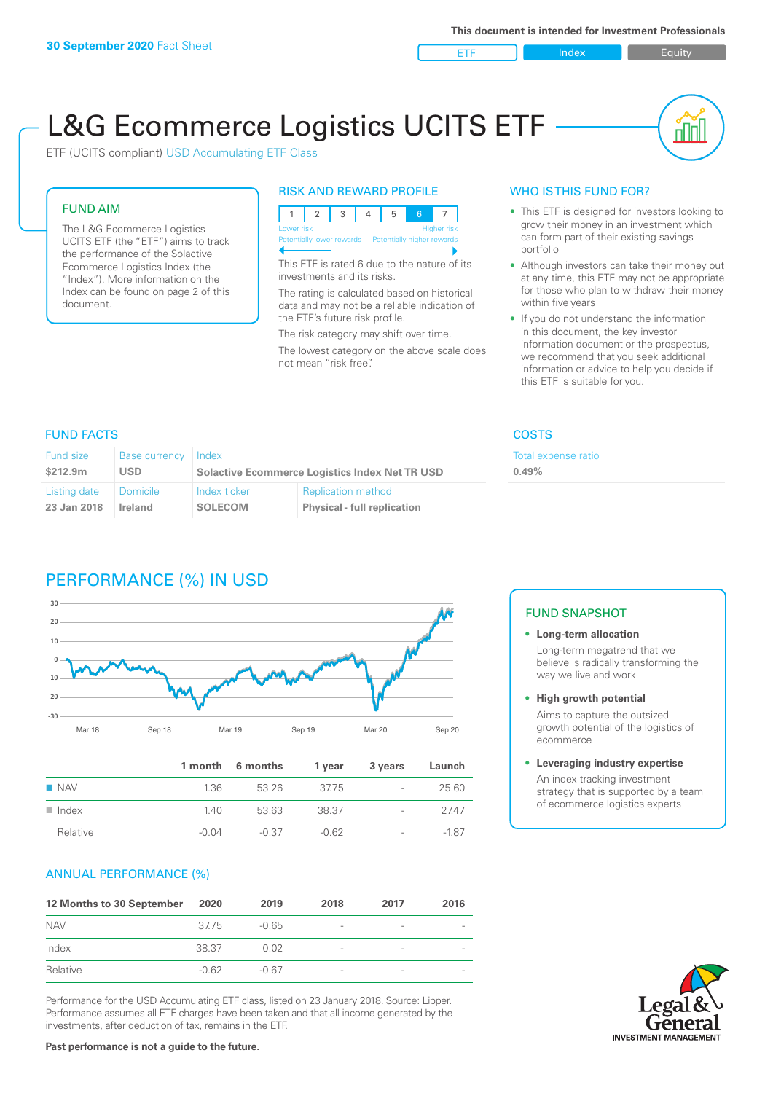ETF Index Buity

nn

# L&G Ecommerce Logistics UCITS ETF

ETF (UCITS compliant) USD Accumulating ETF Class

### FUND AIM

The L&G Ecommerce Logistics UCITS ETF (the "ETF") aims to track the performance of the Solactive Ecommerce Logistics Index (the "Index"). More information on the Index can be found on page 2 of this document.

### RISK AND REWARD PROFILE



This ETF is rated 6 due to the nature of its investments and its risks.

The rating is calculated based on historical data and may not be a reliable indication of the ETF's future risk profile.

The risk category may shift over time. The lowest category on the above scale does not mean "risk free".

### WHO IS THIS FUND FOR?

- This ETF is designed for investors looking to grow their money in an investment which can form part of their existing savings portfolio
- Although investors can take their money out at any time, this ETF may not be appropriate for those who plan to withdraw their money within five years
- If you do not understand the information in this document, the key investor information document or the prospectus, we recommend that you seek additional information or advice to help you decide if this ETF is suitable for you.

**0.49%**

Total expense ratio

### FUND FACTS COSTS

| <b>Fund size</b> | <b>Base currency</b> | Index                                                 |                                    |  |
|------------------|----------------------|-------------------------------------------------------|------------------------------------|--|
| \$212.9m         | USD                  | <b>Solactive Ecommerce Logistics Index Net TR USD</b> |                                    |  |
| Listing date     | Domicile             | Index ticker                                          | <b>Replication method</b>          |  |
| 23 Jan 2018      | <b>Ireland</b>       | <b>SOLECOM</b>                                        | <b>Physical - full replication</b> |  |

### PERFORMANCE (%) IN USD



|                      |         | 1 month 6 months | 1 year  | 3 years                  | Launch |
|----------------------|---------|------------------|---------|--------------------------|--------|
| $\blacksquare$ NAV   | 1.36    | 53 26            | 37.75   | $\overline{\phantom{a}}$ | 25.60  |
| $\blacksquare$ Index | 1.40    | 53.63            | 38.37   | $\overline{\phantom{0}}$ | 2747   |
| Relative             | $-0.04$ | -0.37            | $-0.62$ | $\overline{\phantom{a}}$ | $-187$ |

### ANNUAL PERFORMANCE (%)

| 12 Months to 30 September | 2020    | 2019    | 2018                     | 2017            | 2016 |
|---------------------------|---------|---------|--------------------------|-----------------|------|
| <b>NAV</b>                | 3775    | $-0.65$ | $\overline{\phantom{0}}$ | $\qquad \qquad$ |      |
| Index                     | 38.37   | 0.02    | $\overline{\phantom{a}}$ | $\qquad \qquad$ |      |
| Relative                  | $-0.62$ | -0.67   |                          |                 |      |

Performance for the USD Accumulating ETF class, listed on 23 January 2018. Source: Lipper. Performance assumes all ETF charges have been taken and that all income generated by the investments, after deduction of tax, remains in the ETF.

### FUND SNAPSHOT

- **• Long-term allocation** Long-term megatrend that we believe is radically transforming the way we live and work
- **• High growth potential**

Aims to capture the outsized growth potential of the logistics of ecommerce

#### **• Leveraging industry expertise**

An index tracking investment strategy that is supported by a team of ecommerce logistics experts

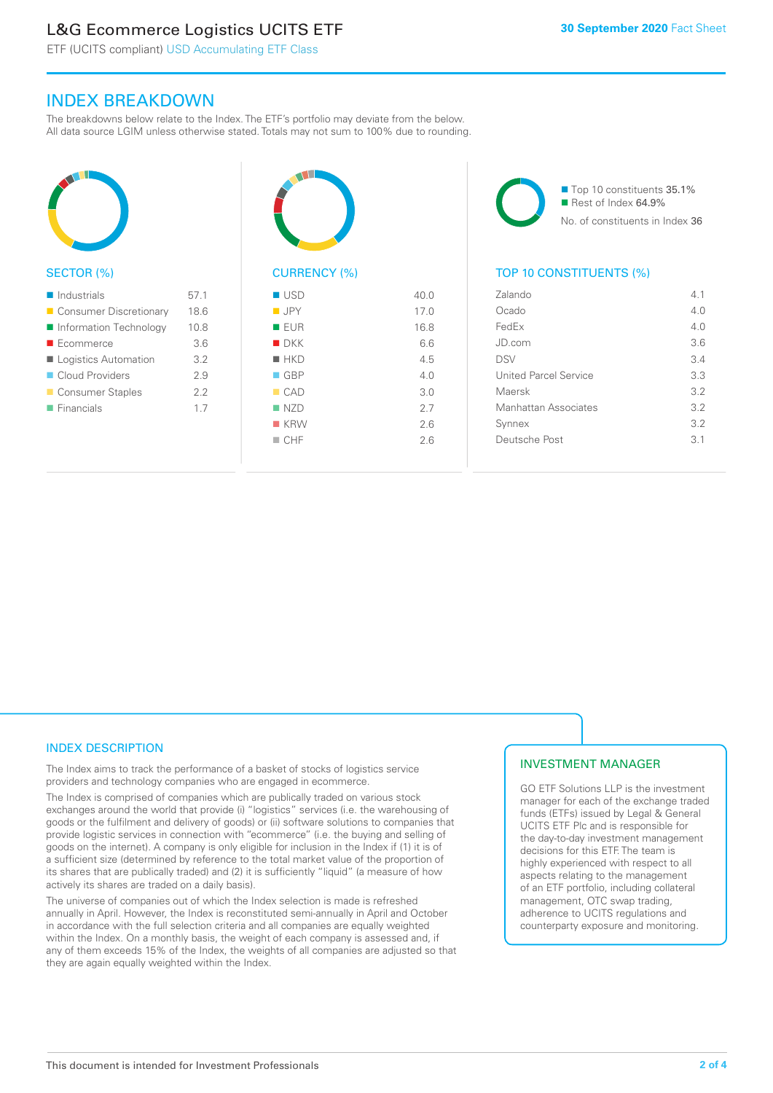## L&G Ecommerce Logistics UCITS ETF

ETF (UCITS compliant) USD Accumulating ETF Class

### INDEX BREAKDOWN

The breakdowns below relate to the Index. The ETF's portfolio may deviate from the below. All data source LGIM unless otherwise stated. Totals may not sum to 100% due to rounding.



### SECTOR (%)

| $\blacksquare$ Industrials | 57.1 |
|----------------------------|------|
| ■ Consumer Discretionary   | 18.6 |
| Information Technology     | 10.8 |
| ■ Ecommerce                | 3.6  |
| Logistics Automation       | 3.2  |
| Cloud Providers            | 29   |
| ■ Consumer Staples         | 2.2  |
| $\blacksquare$ Financials  | 17   |
|                            |      |



### CURRENCY (%)

| $\blacksquare$ USD | 40.0 |
|--------------------|------|
| <b>JPY</b>         | 17.0 |
| <b>EUR</b>         | 16.8 |
| $\blacksquare$ DKK | 6.6  |
| $H$ HKD            | 4.5  |
| $\Box$ GBP         | 4.0  |
| CAD                | 3.0  |
| NZD                | 2.7  |
| $K$ KRW            | 2.6  |
| $\Box$ CHF         | 2.6  |
|                    |      |

■ Top 10 constituents 35.1% Rest of Index 64.9% No. of constituents in Index 36

### TOP 10 CONSTITUENTS (%)

| Zalando               | 41  |
|-----------------------|-----|
| Ocado                 | 4.0 |
| FedEx                 | 4 N |
| JD.com                | 3.6 |
| <b>DSV</b>            | 3.4 |
| United Parcel Service | 3.3 |
| Maersk                | 3.2 |
| Manhattan Associates  | 32  |
| Synnex                | 3.2 |
| Deutsche Post         | 31  |
|                       |     |

### INDEX DESCRIPTION

The Index aims to track the performance of a basket of stocks of logistics service providers and technology companies who are engaged in ecommerce.

The Index is comprised of companies which are publically traded on various stock exchanges around the world that provide (i) "logistics" services (i.e. the warehousing of goods or the fulfilment and delivery of goods) or (ii) software solutions to companies that provide logistic services in connection with "ecommerce" (i.e. the buying and selling of goods on the internet). A company is only eligible for inclusion in the Index if (1) it is of a sufficient size (determined by reference to the total market value of the proportion of its shares that are publically traded) and (2) it is sufficiently "liquid" (a measure of how actively its shares are traded on a daily basis).

The universe of companies out of which the Index selection is made is refreshed annually in April. However, the Index is reconstituted semi-annually in April and October in accordance with the full selection criteria and all companies are equally weighted within the Index. On a monthly basis, the weight of each company is assessed and, if any of them exceeds 15% of the Index, the weights of all companies are adjusted so that they are again equally weighted within the Index.

### INVESTMENT MANAGER

GO ETF Solutions LLP is the investment manager for each of the exchange traded funds (ETFs) issued by Legal & General UCITS ETF Plc and is responsible for the day-to-day investment management decisions for this ETF. The team is highly experienced with respect to all aspects relating to the management of an ETF portfolio, including collateral management, OTC swap trading, adherence to UCITS regulations and counterparty exposure and monitoring.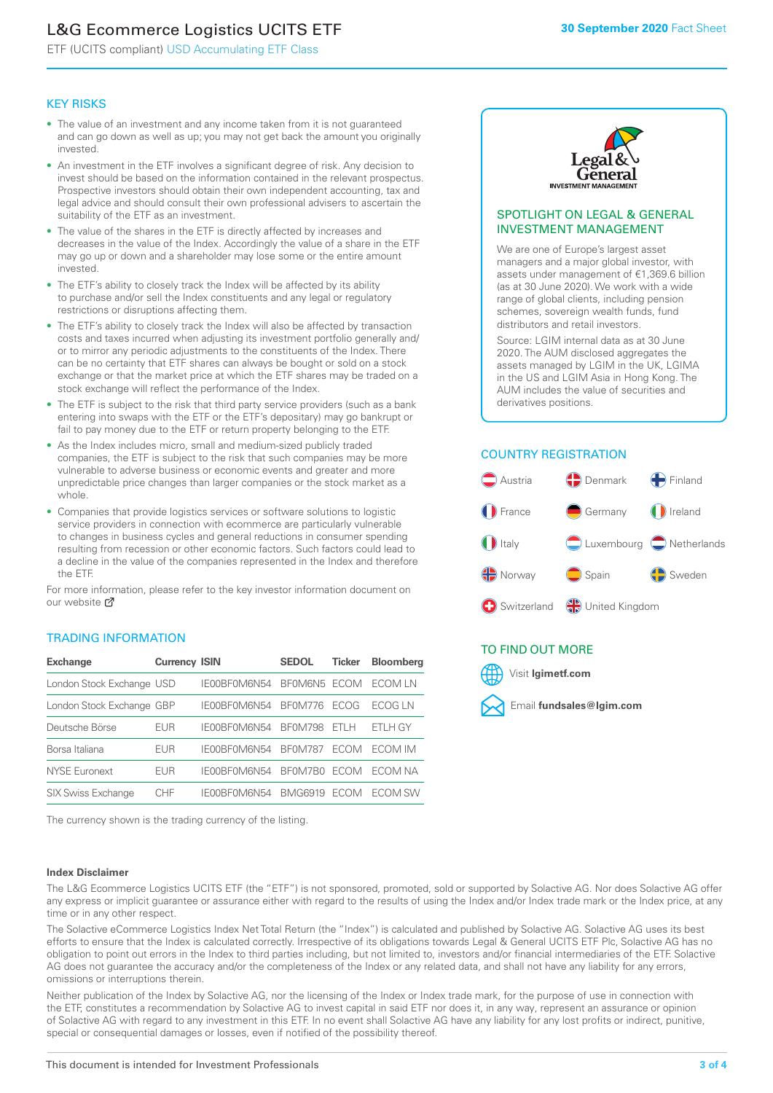## L&G Ecommerce Logistics UCITS ETF

ETF (UCITS compliant) USD Accumulating ETF Class

### KEY RISKS

- The value of an investment and any income taken from it is not guaranteed and can go down as well as up; you may not get back the amount you originally invested.
- An investment in the ETF involves a significant degree of risk. Any decision to invest should be based on the information contained in the relevant prospectus. Prospective investors should obtain their own independent accounting, tax and legal advice and should consult their own professional advisers to ascertain the suitability of the ETF as an investment.
- The value of the shares in the ETF is directly affected by increases and decreases in the value of the Index. Accordingly the value of a share in the ETF may go up or down and a shareholder may lose some or the entire amount invested.
- The ETF's ability to closely track the Index will be affected by its ability to purchase and/or sell the Index constituents and any legal or regulatory restrictions or disruptions affecting them.
- The ETF's ability to closely track the Index will also be affected by transaction costs and taxes incurred when adjusting its investment portfolio generally and/ or to mirror any periodic adjustments to the constituents of the Index. There can be no certainty that ETF shares can always be bought or sold on a stock exchange or that the market price at which the ETF shares may be traded on a stock exchange will reflect the performance of the Index.
- The ETF is subject to the risk that third party service providers (such as a bank entering into swaps with the ETF or the ETF's depositary) may go bankrupt or fail to pay money due to the ETF or return property belonging to the ETF.
- As the Index includes micro, small and medium-sized publicly traded companies, the ETF is subject to the risk that such companies may be more vulnerable to adverse business or economic events and greater and more unpredictable price changes than larger companies or the stock market as a whole.
- Companies that provide logistics services or software solutions to logistic service providers in connection with ecommerce are particularly vulnerable to changes in business cycles and general reductions in consumer spending resulting from recession or other economic factors. Such factors could lead to a decline in the value of the companies represented in the Index and therefore the ETF.

For more information, please refer to the key investor information document on our website Ø

### TRADING INFORMATION

| <b>Exchange</b>           | <b>Currency ISIN</b> |              | <b>SEDOL</b>   | <b>Ticker</b> | <b>Bloomberg</b> |
|---------------------------|----------------------|--------------|----------------|---------------|------------------|
| London Stock Exchange USD |                      | IE00BF0M6N54 | BFOM6N5 ECOM   |               | ECOM I N         |
| London Stock Exchange GBP |                      | IE00BF0M6N54 | BF0M776        | <b>FCOG</b>   | FCOG I N         |
| Deutsche Börse            | <b>FUR</b>           | IE00BF0M6N54 | <b>BF0M798</b> | FTI H         | ETLH GY          |
| Borsa Italiana            | EUR                  | IF00BF0M6N54 | <b>BF0M787</b> | <b>FCOM</b>   | ECOM IM          |
| NYSE Euronext             | EUR                  | IF00BF0M6N54 | BF0M7B0        | <b>FCOM</b>   | FCOM NA          |
| <b>SIX Swiss Exchange</b> | CHE                  | IF00BF0M6N54 | <b>BMG6919</b> | <b>FCOM</b>   | ECOM SW          |

The currency shown is the trading currency of the listing.

#### **Index Disclaimer**



### SPOTLIGHT ON LEGAL & GENERAL INVESTMENT MANAGEMENT

We are one of Europe's largest asset managers and a major global investor, with assets under management of €1,369.6 billion (as at 30 June 2020). We work with a wide range of global clients, including pension schemes, sovereign wealth funds, fund distributors and retail investors.

Source: LGIM internal data as at 30 June 2020. The AUM disclosed aggregates the assets managed by LGIM in the UK, LGIMA in the US and LGIM Asia in Hong Kong. The AUM includes the value of securities and derivatives positions.

### COUNTRY REGISTRATION



### TO FIND OUT MORE



The L&G Ecommerce Logistics UCITS ETF (the "ETF") is not sponsored, promoted, sold or supported by Solactive AG. Nor does Solactive AG offer any express or implicit guarantee or assurance either with regard to the results of using the Index and/or Index trade mark or the Index price, at any time or in any other respect.

The Solactive eCommerce Logistics Index Net Total Return (the "Index") is calculated and published by Solactive AG. Solactive AG uses its best efforts to ensure that the Index is calculated correctly. Irrespective of its obligations towards Legal & General UCITS ETF Plc, Solactive AG has no obligation to point out errors in the Index to third parties including, but not limited to, investors and/or financial intermediaries of the ETF. Solactive AG does not guarantee the accuracy and/or the completeness of the Index or any related data, and shall not have any liability for any errors, omissions or interruptions therein.

Neither publication of the Index by Solactive AG, nor the licensing of the Index or Index trade mark, for the purpose of use in connection with the ETF, constitutes a recommendation by Solactive AG to invest capital in said ETF nor does it, in any way, represent an assurance or opinion of Solactive AG with regard to any investment in this ETF. In no event shall Solactive AG have any liability for any lost profits or indirect, punitive, special or consequential damages or losses, even if notified of the possibility thereof.